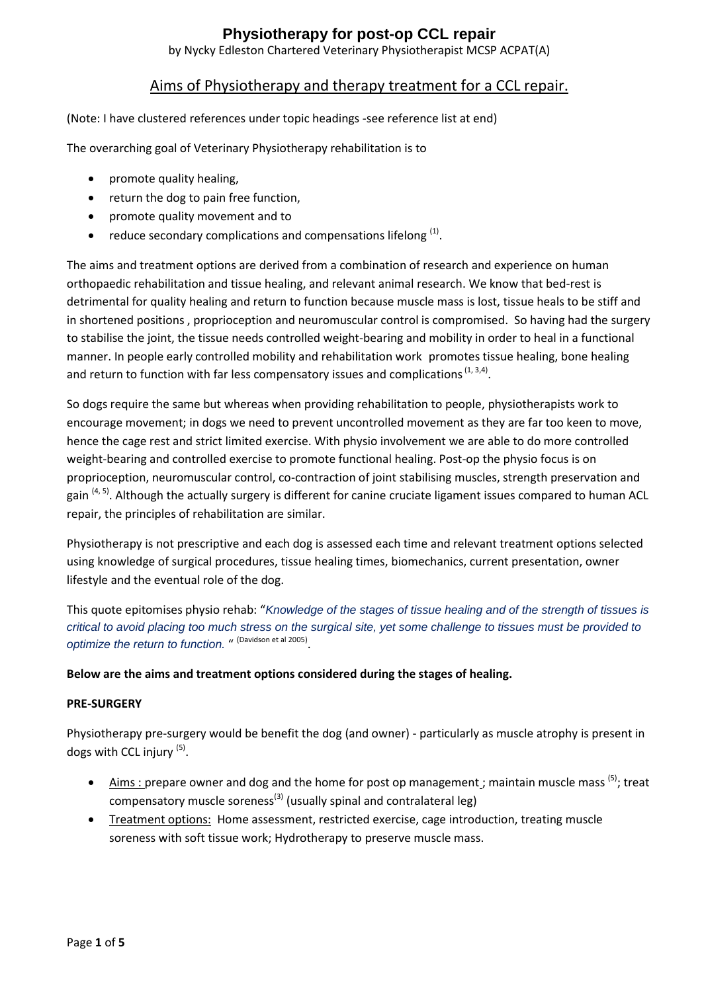by Nycky Edleston Chartered Veterinary Physiotherapist MCSP ACPAT(A)

### Aims of Physiotherapy and therapy treatment for a CCL repair.

(Note: I have clustered references under topic headings -see reference list at end)

The overarching goal of Veterinary Physiotherapy rehabilitation is to

- promote quality healing,
- return the dog to pain free function,
- promote quality movement and to
- reduce secondary complications and compensations lifelong  $<sup>(1)</sup>$ .</sup>

The aims and treatment options are derived from a combination of research and experience on human orthopaedic rehabilitation and tissue healing, and relevant animal research. We know that bed-rest is detrimental for quality healing and return to function because muscle mass is lost, tissue heals to be stiff and in shortened positions , proprioception and neuromuscular control is compromised. So having had the surgery to stabilise the joint, the tissue needs controlled weight-bearing and mobility in order to heal in a functional manner. In people early controlled mobility and rehabilitation work promotes tissue healing, bone healing and return to function with far less compensatory issues and complications  $(1, 3, 4)$ .

So dogs require the same but whereas when providing rehabilitation to people, physiotherapists work to encourage movement; in dogs we need to prevent uncontrolled movement as they are far too keen to move, hence the cage rest and strict limited exercise. With physio involvement we are able to do more controlled weight-bearing and controlled exercise to promote functional healing. Post-op the physio focus is on proprioception, neuromuscular control, co-contraction of joint stabilising muscles, strength preservation and gain <sup>(4, 5)</sup>. Although the actually surgery is different for canine cruciate ligament issues compared to human ACL repair, the principles of rehabilitation are similar.

Physiotherapy is not prescriptive and each dog is assessed each time and relevant treatment options selected using knowledge of surgical procedures, tissue healing times, biomechanics, current presentation, owner lifestyle and the eventual role of the dog.

This quote epitomises physio rehab: "*Knowledge of the stages of tissue healing and of the strength of tissues is critical to avoid placing too much stress on the surgical site, yet some challenge to tissues must be provided to*  optimize the return to function. "<sup>(Davidson et al 2005)</sup>.

#### **Below are the aims and treatment options considered during the stages of healing.**

#### **PRE-SURGERY**

Physiotherapy pre-surgery would be benefit the dog (and owner) - particularly as muscle atrophy is present in dogs with CCL injury<sup>(5)</sup>.

- $\bullet$  Aims: prepare owner and dog and the home for post op management; maintain muscle mass  $^{(5)}$ ; treat compensatory muscle soreness<sup>(3)</sup> (usually spinal and contralateral leg)
- Treatment options: Home assessment, restricted exercise, cage introduction, treating muscle soreness with soft tissue work; Hydrotherapy to preserve muscle mass.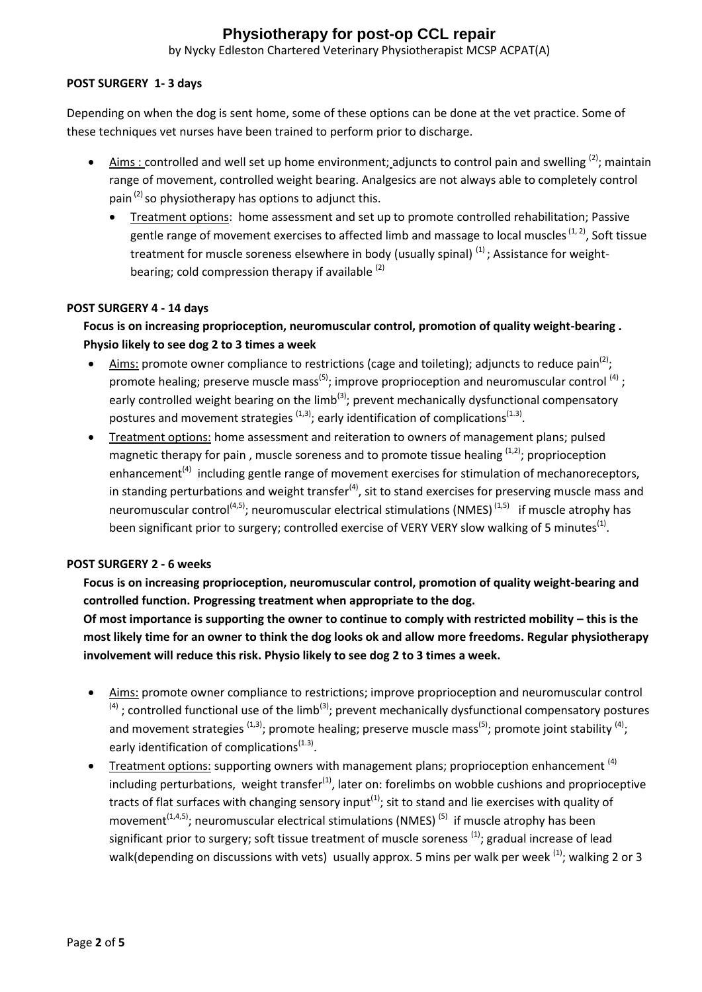by Nycky Edleston Chartered Veterinary Physiotherapist MCSP ACPAT(A)

### **POST SURGERY 1- 3 days**

Depending on when the dog is sent home, some of these options can be done at the vet practice. Some of these techniques vet nurses have been trained to perform prior to discharge.

- Aims: controlled and well set up home environment; adjuncts to control pain and swelling  $(2)$ ; maintain range of movement, controlled weight bearing. Analgesics are not always able to completely control pain  $(2)$  so physiotherapy has options to adjunct this.
	- Treatment options: home assessment and set up to promote controlled rehabilitation; Passive gentle range of movement exercises to affected limb and massage to local muscles<sup>(1, 2)</sup>, Soft tissue treatment for muscle soreness elsewhere in body (usually spinal)  $^{(1)}$ ; Assistance for weightbearing; cold compression therapy if available <sup>(2)</sup>

#### **POST SURGERY 4 - 14 days**

**Focus is on increasing proprioception, neuromuscular control, promotion of quality weight-bearing . Physio likely to see dog 2 to 3 times a week**

- $\bullet$  Aims: promote owner compliance to restrictions (cage and toileting); adjuncts to reduce pain<sup>(2)</sup>; promote healing; preserve muscle mass<sup>(5)</sup>; improve proprioception and neuromuscular control <sup>(4)</sup>; early controlled weight bearing on the limb<sup>(3)</sup>; prevent mechanically dysfunctional compensatory postures and movement strategies <sup>(1,3)</sup>; early identification of complications<sup>(1.3)</sup>.
- Treatment options: home assessment and reiteration to owners of management plans; pulsed magnetic therapy for pain, muscle soreness and to promote tissue healing  $(1,2)$ ; proprioception enhancement<sup>(4)</sup> including gentle range of movement exercises for stimulation of mechanoreceptors, in standing perturbations and weight transfer<sup>(4)</sup>, sit to stand exercises for preserving muscle mass and neuromuscular control<sup>(4,5)</sup>; neuromuscular electrical stimulations (NMES)<sup>(1,5)</sup> if muscle atrophy has been significant prior to surgery; controlled exercise of VERY VERY slow walking of 5 minutes<sup>(1)</sup>.

#### **POST SURGERY 2 - 6 weeks**

**Focus is on increasing proprioception, neuromuscular control, promotion of quality weight-bearing and controlled function. Progressing treatment when appropriate to the dog.** 

**Of most importance is supporting the owner to continue to comply with restricted mobility – this is the most likely time for an owner to think the dog looks ok and allow more freedoms. Regular physiotherapy involvement will reduce this risk. Physio likely to see dog 2 to 3 times a week.**

- Aims: promote owner compliance to restrictions; improve proprioception and neuromuscular control  $<sup>(4)</sup>$ ; controlled functional use of the limb<sup>(3)</sup>; prevent mechanically dysfunctional compensatory postures</sup> and movement strategies <sup>(1,3)</sup>; promote healing; preserve muscle mass<sup>(5)</sup>; promote joint stability <sup>(4)</sup>; early identification of complications<sup>(1.3)</sup>.
- **•** Treatment options: supporting owners with management plans; proprioception enhancement  $(4)$ including perturbations, weight transfer $^{(1)}$ , later on: forelimbs on wobble cushions and proprioceptive tracts of flat surfaces with changing sensory input<sup>(1)</sup>; sit to stand and lie exercises with quality of movement<sup>(1,4,5)</sup>; neuromuscular electrical stimulations (NMES)<sup>(5)</sup> if muscle atrophy has been significant prior to surgery; soft tissue treatment of muscle soreness  $(1)$ ; gradual increase of lead walk(depending on discussions with vets) usually approx. 5 mins per walk per week <sup>(1)</sup>; walking 2 or 3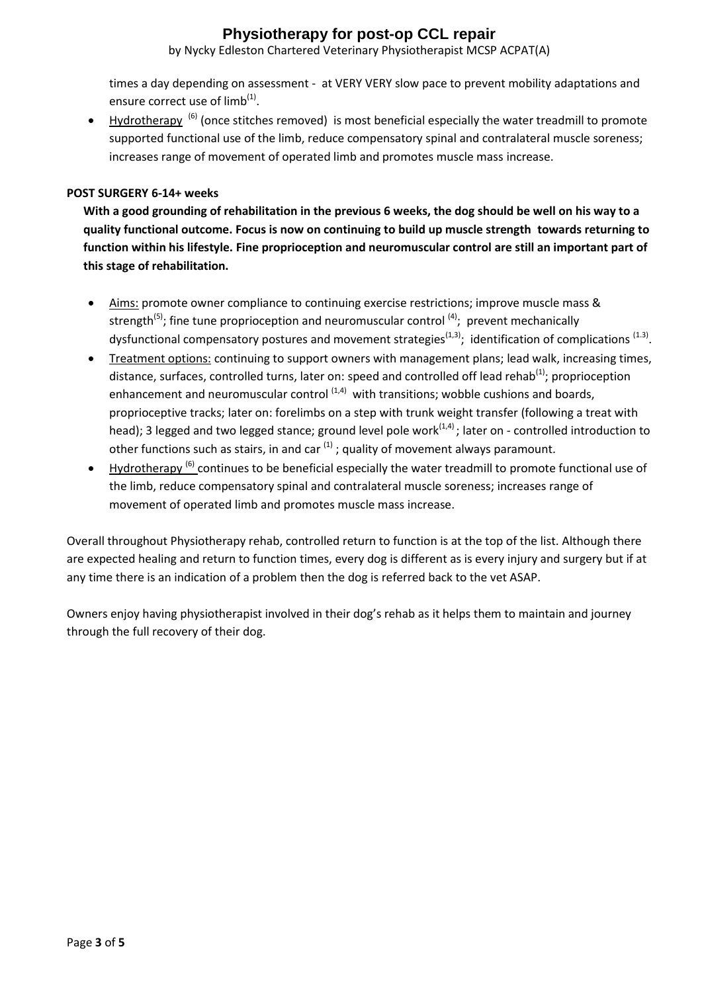by Nycky Edleston Chartered Veterinary Physiotherapist MCSP ACPAT(A)

times a day depending on assessment - at VERY VERY slow pace to prevent mobility adaptations and ensure correct use of limb<sup>(1)</sup>.

• Hydrotherapy<sup>(6)</sup> (once stitches removed) is most beneficial especially the water treadmill to promote supported functional use of the limb, reduce compensatory spinal and contralateral muscle soreness; increases range of movement of operated limb and promotes muscle mass increase.

#### **POST SURGERY 6-14+ weeks**

**With a good grounding of rehabilitation in the previous 6 weeks, the dog should be well on his way to a quality functional outcome. Focus is now on continuing to build up muscle strength towards returning to function within his lifestyle. Fine proprioception and neuromuscular control are still an important part of this stage of rehabilitation.**

- Aims: promote owner compliance to continuing exercise restrictions; improve muscle mass & strength<sup>(5)</sup>; fine tune proprioception and neuromuscular control<sup>(4)</sup>; prevent mechanically dysfunctional compensatory postures and movement strategies<sup>(1,3)</sup>; identification of complications <sup>(1.3)</sup>.
- Treatment options: continuing to support owners with management plans; lead walk, increasing times, distance, surfaces, controlled turns, later on: speed and controlled off lead rehab<sup>(1)</sup>; proprioception enhancement and neuromuscular control  $(1,4)$  with transitions; wobble cushions and boards, proprioceptive tracks; later on: forelimbs on a step with trunk weight transfer (following a treat with head); 3 legged and two legged stance; ground level pole work<sup>(1,4)</sup>; later on - controlled introduction to other functions such as stairs, in and car  $^{(1)}$ ; quality of movement always paramount.
- Hydrotherapy<sup>(6)</sup> continues to be beneficial especially the water treadmill to promote functional use of the limb, reduce compensatory spinal and contralateral muscle soreness; increases range of movement of operated limb and promotes muscle mass increase.

Overall throughout Physiotherapy rehab, controlled return to function is at the top of the list. Although there are expected healing and return to function times, every dog is different as is every injury and surgery but if at any time there is an indication of a problem then the dog is referred back to the vet ASAP.

Owners enjoy having physiotherapist involved in their dog's rehab as it helps them to maintain and journey through the full recovery of their dog.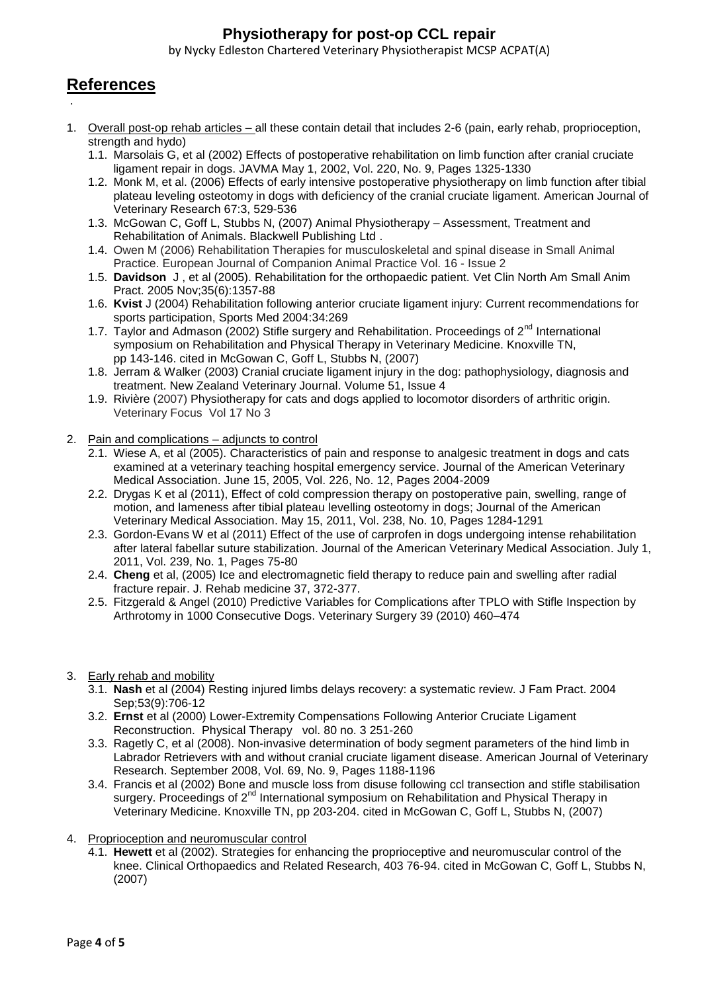by Nycky Edleston Chartered Veterinary Physiotherapist MCSP ACPAT(A)

# **References**

.

- 1. Overall post-op rehab articles all these contain detail that includes 2-6 (pain, early rehab, proprioception, strength and hydo)
	- 1.1. Marsolais G, et al (2002) Effects of postoperative rehabilitation on limb function after cranial cruciate ligament repair in dogs. JAVMA May 1, 2002, Vol. 220, No. 9, Pages 1325-1330
	- 1.2. Monk M, et al. (2006) Effects of early intensive postoperative physiotherapy on limb function after tibial plateau leveling osteotomy in dogs with deficiency of the cranial cruciate ligament. American Journal of Veterinary Research 67:3, 529-536
	- 1.3. McGowan C, Goff L, Stubbs N, (2007) Animal Physiotherapy Assessment, Treatment and Rehabilitation of Animals. Blackwell Publishing Ltd .
	- 1.4. Owen M (2006) Rehabilitation Therapies for musculoskeletal and spinal disease in Small Animal Practice. European Journal of Companion Animal Practice Vol. 16 - Issue 2
	- 1.5. **Davidson** J , et al (2005). Rehabilitation for the orthopaedic patient. [Vet Clin North Am Small Anim](http://www.ncbi.nlm.nih.gov/pubmed/16260317)  [Pract.](http://www.ncbi.nlm.nih.gov/pubmed/16260317) 2005 Nov;35(6):1357-88
	- 1.6. **Kvist** J (2004) Rehabilitation following anterior cruciate ligament injury: Current recommendations for sports participation, Sports Med 2004:34:269
	- 1.7. Taylor and Admason (2002) Stifle surgery and Rehabilitation. Proceedings of 2<sup>nd</sup> International symposium on Rehabilitation and Physical Therapy in Veterinary Medicine. Knoxville TN, pp 143-146. cited in McGowan C, Goff L, Stubbs N, (2007)
	- 1.8. Jerram & Walker (2003) Cranial cruciate ligament injury in the dog: pathophysiology, diagnosis and treatment. New Zealand Veterinary Journal. [Volume 51,](http://www.tandfonline.com/loi/tnzv20?open=51#vol_51) [Issue 4](http://www.tandfonline.com/toc/tnzv20/51/4)
	- 1.9. Rivière (2007) Physiotherapy for cats and dogs applied to locomotor disorders of arthritic origin. Veterinary Focus Vol 17 No 3
- 2. Pain and complications adjuncts to control
	- 2.1. Wiese A, et al (2005). Characteristics of pain and response to analgesic treatment in dogs and cats examined at a veterinary teaching hospital emergency service. [Journal of the American Veterinary](http://avmajournals.avma.org/loi/javma)  [Medical Association.](http://avmajournals.avma.org/loi/javma) June 15, 2005, Vol. 226, No. 12, Pages 2004-2009
	- 2.2. Drygas K et al (2011), Effect of cold compression therapy on postoperative pain, swelling, range of motion, and lameness after tibial plateau levelling osteotomy in dogs; [Journal of the American](http://avmajournals.avma.org/loi/javma)  [Veterinary Medical Association.](http://avmajournals.avma.org/loi/javma) May 15, 2011, Vol. 238, No. 10, Pages 1284-1291
	- 2.3. Gordon-Evans W et al (2011) Effect of the use of carprofen in dogs undergoing intense rehabilitation after lateral fabellar suture stabilization. [Journal of the American Veterinary Medical Association.](http://avmajournals.avma.org/loi/javma) July 1, 2011, Vol. 239, No. 1, Pages 75-80
	- 2.4. **Cheng** et al, (2005) Ice and electromagnetic field therapy to reduce pain and swelling after radial fracture repair. J. Rehab medicine 37, 372-377.
	- 2.5. Fitzgerald & Angel (2010) Predictive Variables for Complications after TPLO with Stifle Inspection by Arthrotomy in 1000 Consecutive Dogs. Veterinary Surgery 39 (2010) 460–474

### 3. Early rehab and mobility

- 3.1. **Nash** et al (2004) Resting injured limbs delays recovery: a systematic review. [J Fam Pract.](http://www.ncbi.nlm.nih.gov/pubmed/15353159) 2004 Sep;53(9):706-12
- 3.2. **Ernst** et al (2000) Lower-Extremity Compensations Following Anterior Cruciate Ligament Reconstruction. Physical Therapyvol. 80 no. 3 251-260
- 3.3. Ragetly C, et al (2008). Non-invasive determination of body segment parameters of the hind limb in Labrador Retrievers with and without cranial cruciate ligament disease. [American Journal of Veterinary](http://avmajournals.avma.org/loi/ajvr)  [Research.](http://avmajournals.avma.org/loi/ajvr) September 2008, Vol. 69, No. 9, Pages 1188-1196
- 3.4. Francis et al (2002) Bone and muscle loss from disuse following ccl transection and stifle stabilisation surgery. Proceedings of 2<sup>nd</sup> International symposium on Rehabilitation and Physical Therapy in Veterinary Medicine. Knoxville TN, pp 203-204. cited in McGowan C, Goff L, Stubbs N, (2007)
- 4. Proprioception and neuromuscular control
	- 4.1. **Hewett** et al (2002). Strategies for enhancing the proprioceptive and neuromuscular control of the knee. Clinical Orthopaedics and Related Research, 403 76-94. cited in McGowan C, Goff L, Stubbs N, (2007)